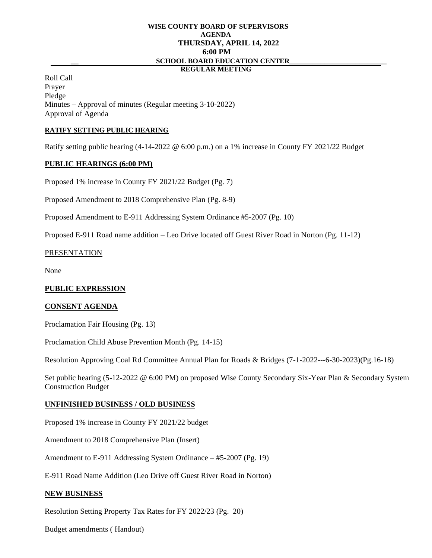# **WISE COUNTY BOARD OF SUPERVISORS AGENDA THURSDAY, APRIL 14, 2022 6:00 PM \_\_ SCHOOL BOARD EDUCATION CENTER\_\_\_\_\_\_\_\_\_\_\_\_\_\_\_\_\_\_\_\_\_\_\_\_\_**

## **REGULAR MEETING**

Roll Call Prayer Pledge Minutes – Approval of minutes (Regular meeting 3-10-2022) Approval of Agenda

## **RATIFY SETTING PUBLIC HEARING**

Ratify setting public hearing (4-14-2022 @ 6:00 p.m.) on a 1% increase in County FY 2021/22 Budget

#### **PUBLIC HEARINGS (6:00 PM)**

Proposed 1% increase in County FY 2021/22 Budget (Pg. 7)

Proposed Amendment to 2018 Comprehensive Plan (Pg. 8-9)

Proposed Amendment to E-911 Addressing System Ordinance #5-2007 (Pg. 10)

Proposed E-911 Road name addition – Leo Drive located off Guest River Road in Norton (Pg. 11-12)

## PRESENTATION

None

## **PUBLIC EXPRESSION**

## **CONSENT AGENDA**

Proclamation Fair Housing (Pg. 13)

Proclamation Child Abuse Prevention Month (Pg. 14-15)

Resolution Approving Coal Rd Committee Annual Plan for Roads & Bridges (7-1-2022---6-30-2023)(Pg.16-18)

Set public hearing (5-12-2022 @ 6:00 PM) on proposed Wise County Secondary Six-Year Plan & Secondary System Construction Budget

## **UNFINISHED BUSINESS / OLD BUSINESS**

Proposed 1% increase in County FY 2021/22 budget

Amendment to 2018 Comprehensive Plan (Insert)

Amendment to E-911 Addressing System Ordinance – #5-2007 (Pg. 19)

E-911 Road Name Addition (Leo Drive off Guest River Road in Norton)

## **NEW BUSINESS**

Resolution Setting Property Tax Rates for FY 2022/23 (Pg. 20)

Budget amendments ( Handout)